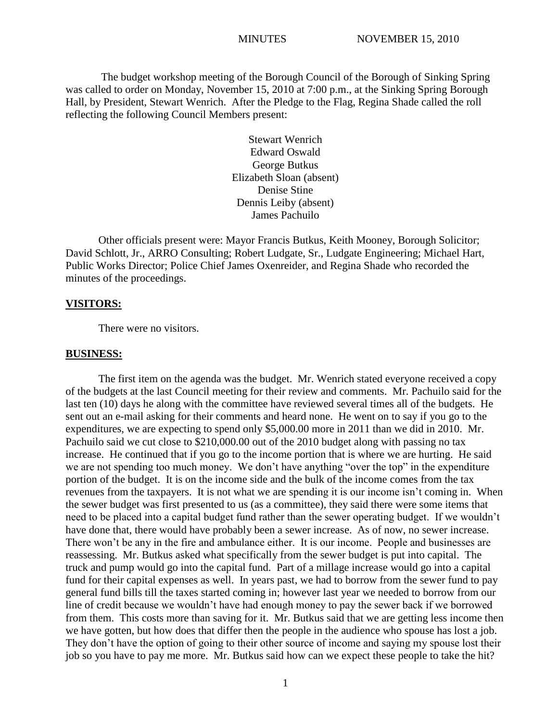The budget workshop meeting of the Borough Council of the Borough of Sinking Spring was called to order on Monday, November 15, 2010 at 7:00 p.m., at the Sinking Spring Borough Hall, by President, Stewart Wenrich. After the Pledge to the Flag, Regina Shade called the roll reflecting the following Council Members present:

> Stewart Wenrich Edward Oswald George Butkus Elizabeth Sloan (absent) Denise Stine Dennis Leiby (absent) James Pachuilo

Other officials present were: Mayor Francis Butkus, Keith Mooney, Borough Solicitor; David Schlott, Jr., ARRO Consulting; Robert Ludgate, Sr., Ludgate Engineering; Michael Hart, Public Works Director; Police Chief James Oxenreider, and Regina Shade who recorded the minutes of the proceedings.

#### **VISITORS:**

There were no visitors.

#### **BUSINESS:**

The first item on the agenda was the budget. Mr. Wenrich stated everyone received a copy of the budgets at the last Council meeting for their review and comments. Mr. Pachuilo said for the last ten (10) days he along with the committee have reviewed several times all of the budgets. He sent out an e-mail asking for their comments and heard none. He went on to say if you go to the expenditures, we are expecting to spend only \$5,000.00 more in 2011 than we did in 2010. Mr. Pachuilo said we cut close to \$210,000.00 out of the 2010 budget along with passing no tax increase. He continued that if you go to the income portion that is where we are hurting. He said we are not spending too much money. We don't have anything "over the top" in the expenditure portion of the budget. It is on the income side and the bulk of the income comes from the tax revenues from the taxpayers. It is not what we are spending it is our income isn't coming in. When the sewer budget was first presented to us (as a committee), they said there were some items that need to be placed into a capital budget fund rather than the sewer operating budget. If we wouldn't have done that, there would have probably been a sewer increase. As of now, no sewer increase. There won't be any in the fire and ambulance either. It is our income. People and businesses are reassessing. Mr. Butkus asked what specifically from the sewer budget is put into capital. The truck and pump would go into the capital fund. Part of a millage increase would go into a capital fund for their capital expenses as well. In years past, we had to borrow from the sewer fund to pay general fund bills till the taxes started coming in; however last year we needed to borrow from our line of credit because we wouldn't have had enough money to pay the sewer back if we borrowed from them. This costs more than saving for it. Mr. Butkus said that we are getting less income then we have gotten, but how does that differ then the people in the audience who spouse has lost a job. They don't have the option of going to their other source of income and saying my spouse lost their job so you have to pay me more. Mr. Butkus said how can we expect these people to take the hit?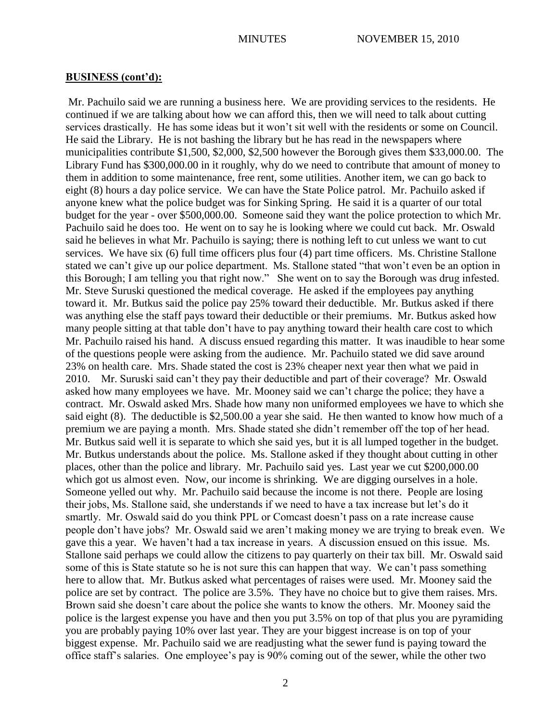Mr. Pachuilo said we are running a business here. We are providing services to the residents. He continued if we are talking about how we can afford this, then we will need to talk about cutting services drastically. He has some ideas but it won't sit well with the residents or some on Council. He said the Library. He is not bashing the library but he has read in the newspapers where municipalities contribute \$1,500, \$2,000, \$2,500 however the Borough gives them \$33,000.00. The Library Fund has \$300,000.00 in it roughly, why do we need to contribute that amount of money to them in addition to some maintenance, free rent, some utilities. Another item, we can go back to eight (8) hours a day police service. We can have the State Police patrol. Mr. Pachuilo asked if anyone knew what the police budget was for Sinking Spring. He said it is a quarter of our total budget for the year - over \$500,000.00. Someone said they want the police protection to which Mr. Pachuilo said he does too. He went on to say he is looking where we could cut back. Mr. Oswald said he believes in what Mr. Pachuilo is saying; there is nothing left to cut unless we want to cut services. We have six (6) full time officers plus four (4) part time officers. Ms. Christine Stallone stated we can't give up our police department. Ms. Stallone stated "that won't even be an option in this Borough; I am telling you that right now." She went on to say the Borough was drug infested. Mr. Steve Suruski questioned the medical coverage. He asked if the employees pay anything toward it. Mr. Butkus said the police pay 25% toward their deductible. Mr. Butkus asked if there was anything else the staff pays toward their deductible or their premiums. Mr. Butkus asked how many people sitting at that table don't have to pay anything toward their health care cost to which Mr. Pachuilo raised his hand. A discuss ensued regarding this matter. It was inaudible to hear some of the questions people were asking from the audience. Mr. Pachuilo stated we did save around 23% on health care. Mrs. Shade stated the cost is 23% cheaper next year then what we paid in 2010. Mr. Suruski said can't they pay their deductible and part of their coverage? Mr. Oswald asked how many employees we have. Mr. Mooney said we can't charge the police; they have a contract. Mr. Oswald asked Mrs. Shade how many non uniformed employees we have to which she said eight (8). The deductible is \$2,500.00 a year she said. He then wanted to know how much of a premium we are paying a month. Mrs. Shade stated she didn't remember off the top of her head. Mr. Butkus said well it is separate to which she said yes, but it is all lumped together in the budget. Mr. Butkus understands about the police. Ms. Stallone asked if they thought about cutting in other places, other than the police and library. Mr. Pachuilo said yes. Last year we cut \$200,000.00 which got us almost even. Now, our income is shrinking. We are digging ourselves in a hole. Someone yelled out why. Mr. Pachuilo said because the income is not there. People are losing their jobs, Ms. Stallone said, she understands if we need to have a tax increase but let's do it smartly. Mr. Oswald said do you think PPL or Comcast doesn't pass on a rate increase cause people don't have jobs? Mr. Oswald said we aren't making money we are trying to break even. We gave this a year. We haven't had a tax increase in years. A discussion ensued on this issue. Ms. Stallone said perhaps we could allow the citizens to pay quarterly on their tax bill. Mr. Oswald said some of this is State statute so he is not sure this can happen that way. We can't pass something here to allow that. Mr. Butkus asked what percentages of raises were used. Mr. Mooney said the police are set by contract. The police are 3.5%. They have no choice but to give them raises. Mrs. Brown said she doesn't care about the police she wants to know the others. Mr. Mooney said the police is the largest expense you have and then you put 3.5% on top of that plus you are pyramiding you are probably paying 10% over last year. They are your biggest increase is on top of your biggest expense. Mr. Pachuilo said we are readjusting what the sewer fund is paying toward the office staff's salaries. One employee's pay is 90% coming out of the sewer, while the other two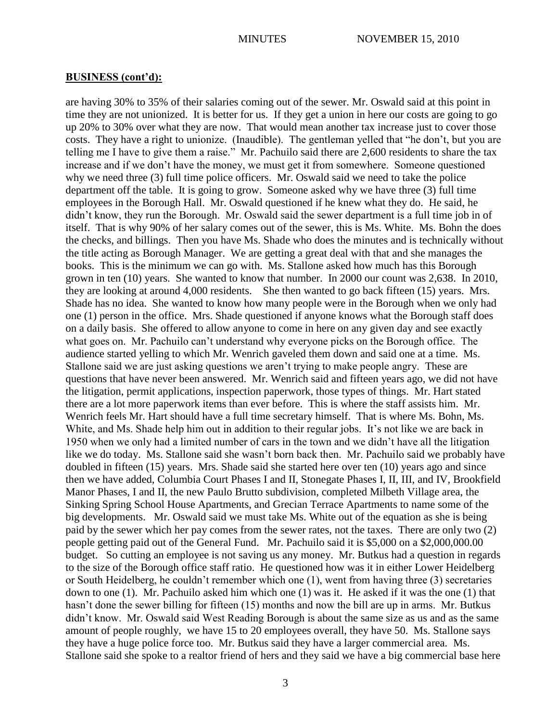are having 30% to 35% of their salaries coming out of the sewer. Mr. Oswald said at this point in time they are not unionized. It is better for us. If they get a union in here our costs are going to go up 20% to 30% over what they are now. That would mean another tax increase just to cover those costs. They have a right to unionize. (Inaudible). The gentleman yelled that "he don't, but you are telling me I have to give them a raise." Mr. Pachuilo said there are 2,600 residents to share the tax increase and if we don't have the money, we must get it from somewhere. Someone questioned why we need three (3) full time police officers. Mr. Oswald said we need to take the police department off the table. It is going to grow. Someone asked why we have three (3) full time employees in the Borough Hall. Mr. Oswald questioned if he knew what they do. He said, he didn't know, they run the Borough. Mr. Oswald said the sewer department is a full time job in of itself. That is why 90% of her salary comes out of the sewer, this is Ms. White. Ms. Bohn the does the checks, and billings. Then you have Ms. Shade who does the minutes and is technically without the title acting as Borough Manager. We are getting a great deal with that and she manages the books. This is the minimum we can go with. Ms. Stallone asked how much has this Borough grown in ten (10) years. She wanted to know that number. In 2000 our count was 2,638. In 2010, they are looking at around 4,000 residents. She then wanted to go back fifteen (15) years. Mrs. Shade has no idea. She wanted to know how many people were in the Borough when we only had one (1) person in the office. Mrs. Shade questioned if anyone knows what the Borough staff does on a daily basis. She offered to allow anyone to come in here on any given day and see exactly what goes on. Mr. Pachuilo can't understand why everyone picks on the Borough office. The audience started yelling to which Mr. Wenrich gaveled them down and said one at a time. Ms. Stallone said we are just asking questions we aren't trying to make people angry. These are questions that have never been answered. Mr. Wenrich said and fifteen years ago, we did not have the litigation, permit applications, inspection paperwork, those types of things. Mr. Hart stated there are a lot more paperwork items than ever before. This is where the staff assists him. Mr. Wenrich feels Mr. Hart should have a full time secretary himself. That is where Ms. Bohn, Ms. White, and Ms. Shade help him out in addition to their regular jobs. It's not like we are back in 1950 when we only had a limited number of cars in the town and we didn't have all the litigation like we do today. Ms. Stallone said she wasn't born back then. Mr. Pachuilo said we probably have doubled in fifteen (15) years. Mrs. Shade said she started here over ten (10) years ago and since then we have added, Columbia Court Phases I and II, Stonegate Phases I, II, III, and IV, Brookfield Manor Phases, I and II, the new Paulo Brutto subdivision, completed Milbeth Village area, the Sinking Spring School House Apartments, and Grecian Terrace Apartments to name some of the big developments. Mr. Oswald said we must take Ms. White out of the equation as she is being paid by the sewer which her pay comes from the sewer rates, not the taxes. There are only two (2) people getting paid out of the General Fund. Mr. Pachuilo said it is \$5,000 on a \$2,000,000.00 budget. So cutting an employee is not saving us any money. Mr. Butkus had a question in regards to the size of the Borough office staff ratio. He questioned how was it in either Lower Heidelberg or South Heidelberg, he couldn't remember which one (1), went from having three (3) secretaries down to one (1). Mr. Pachuilo asked him which one (1) was it. He asked if it was the one (1) that hasn't done the sewer billing for fifteen (15) months and now the bill are up in arms. Mr. Butkus didn't know. Mr. Oswald said West Reading Borough is about the same size as us and as the same amount of people roughly, we have 15 to 20 employees overall, they have 50. Ms. Stallone says they have a huge police force too. Mr. Butkus said they have a larger commercial area. Ms. Stallone said she spoke to a realtor friend of hers and they said we have a big commercial base here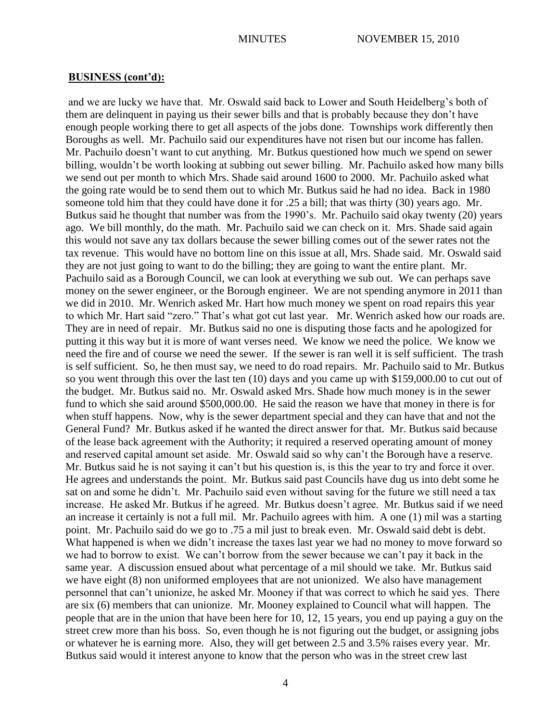and we are lucky we have that. Mr. Oswald said back to Lower and South Heidelberg's both of them are delinquent in paying us their sewer bills and that is probably because they don't have enough people working there to get all aspects of the jobs done. Townships work differently then Boroughs as well. Mr. Pachuilo said our expenditures have not risen but our income has fallen. Mr. Pachuilo doesn't want to cut anything. Mr. Butkus questioned how much we spend on sewer billing, wouldn't be worth looking at subbing out sewer billing. Mr. Pachuilo asked how many bills we send out per month to which Mrs. Shade said around 1600 to 2000. Mr. Pachuilo asked what the going rate would be to send them out to which Mr. Butkus said he had no idea. Back in 1980 someone told him that they could have done it for .25 a bill; that was thirty (30) years ago. Mr. Butkus said he thought that number was from the 1990's. Mr. Pachuilo said okay twenty (20) years ago. We bill monthly, do the math. Mr. Pachuilo said we can check on it. Mrs. Shade said again this would not save any tax dollars because the sewer billing comes out of the sewer rates not the tax revenue. This would have no bottom line on this issue at all, Mrs. Shade said. Mr. Oswald said they are not just going to want to do the billing; they are going to want the entire plant. Mr. Pachuilo said as a Borough Council, we can look at everything we sub out. We can perhaps save money on the sewer engineer, or the Borough engineer. We are not spending anymore in 2011 than we did in 2010. Mr. Wenrich asked Mr. Hart how much money we spent on road repairs this year to which Mr. Hart said "zero." That's what got cut last year. Mr. Wenrich asked how our roads are. They are in need of repair. Mr. Butkus said no one is disputing those facts and he apologized for putting it this way but it is more of want verses need. We know we need the police. We know we need the fire and of course we need the sewer. If the sewer is ran well it is self sufficient. The trash is self sufficient. So, he then must say, we need to do road repairs. Mr. Pachuilo said to Mr. Butkus so you went through this over the last ten (10) days and you came up with \$159,000.00 to cut out of the budget. Mr. Butkus said no. Mr. Oswald asked Mrs. Shade how much money is in the sewer fund to which she said around \$500,000.00. He said the reason we have that money in there is for when stuff happens. Now, why is the sewer department special and they can have that and not the General Fund? Mr. Butkus asked if he wanted the direct answer for that. Mr. Butkus said because of the lease back agreement with the Authority; it required a reserved operating amount of money and reserved capital amount set aside. Mr. Oswald said so why can't the Borough have a reserve. Mr. Butkus said he is not saying it can't but his question is, is this the year to try and force it over. He agrees and understands the point. Mr. Butkus said past Councils have dug us into debt some he sat on and some he didn't. Mr. Pachuilo said even without saving for the future we still need a tax increase. He asked Mr. Butkus if he agreed. Mr. Butkus doesn't agree. Mr. Butkus said if we need an increase it certainly is not a full mil. Mr. Pachuilo agrees with him. A one (1) mil was a starting point. Mr. Pachuilo said do we go to .75 a mil just to break even. Mr. Oswald said debt is debt. What happened is when we didn't increase the taxes last year we had no money to move forward so we had to borrow to exist. We can't borrow from the sewer because we can't pay it back in the same year. A discussion ensued about what percentage of a mil should we take. Mr. Butkus said we have eight (8) non uniformed employees that are not unionized. We also have management personnel that can't unionize, he asked Mr. Mooney if that was correct to which he said yes. There are six (6) members that can unionize. Mr. Mooney explained to Council what will happen. The people that are in the union that have been here for 10, 12, 15 years, you end up paying a guy on the street crew more than his boss. So, even though he is not figuring out the budget, or assigning jobs or whatever he is earning more. Also, they will get between 2.5 and 3.5% raises every year. Mr. Butkus said would it interest anyone to know that the person who was in the street crew last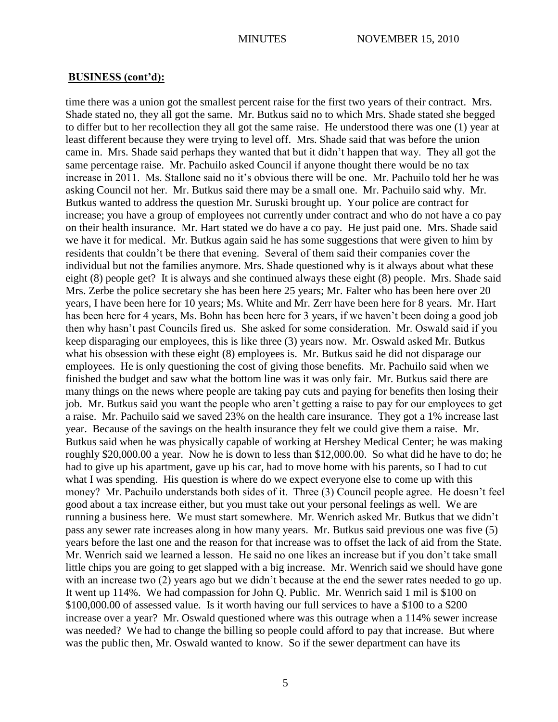time there was a union got the smallest percent raise for the first two years of their contract. Mrs. Shade stated no, they all got the same. Mr. Butkus said no to which Mrs. Shade stated she begged to differ but to her recollection they all got the same raise. He understood there was one (1) year at least different because they were trying to level off. Mrs. Shade said that was before the union came in. Mrs. Shade said perhaps they wanted that but it didn't happen that way. They all got the same percentage raise. Mr. Pachuilo asked Council if anyone thought there would be no tax increase in 2011. Ms. Stallone said no it's obvious there will be one. Mr. Pachuilo told her he was asking Council not her. Mr. Butkus said there may be a small one. Mr. Pachuilo said why. Mr. Butkus wanted to address the question Mr. Suruski brought up. Your police are contract for increase; you have a group of employees not currently under contract and who do not have a co pay on their health insurance. Mr. Hart stated we do have a co pay. He just paid one. Mrs. Shade said we have it for medical. Mr. Butkus again said he has some suggestions that were given to him by residents that couldn't be there that evening. Several of them said their companies cover the individual but not the families anymore. Mrs. Shade questioned why is it always about what these eight (8) people get? It is always and she continued always these eight (8) people. Mrs. Shade said Mrs. Zerbe the police secretary she has been here 25 years; Mr. Falter who has been here over 20 years, I have been here for 10 years; Ms. White and Mr. Zerr have been here for 8 years. Mr. Hart has been here for 4 years, Ms. Bohn has been here for 3 years, if we haven't been doing a good job then why hasn't past Councils fired us. She asked for some consideration. Mr. Oswald said if you keep disparaging our employees, this is like three (3) years now. Mr. Oswald asked Mr. Butkus what his obsession with these eight (8) employees is. Mr. Butkus said he did not disparage our employees. He is only questioning the cost of giving those benefits. Mr. Pachuilo said when we finished the budget and saw what the bottom line was it was only fair. Mr. Butkus said there are many things on the news where people are taking pay cuts and paying for benefits then losing their job. Mr. Butkus said you want the people who aren't getting a raise to pay for our employees to get a raise. Mr. Pachuilo said we saved 23% on the health care insurance. They got a 1% increase last year. Because of the savings on the health insurance they felt we could give them a raise. Mr. Butkus said when he was physically capable of working at Hershey Medical Center; he was making roughly \$20,000.00 a year. Now he is down to less than \$12,000.00. So what did he have to do; he had to give up his apartment, gave up his car, had to move home with his parents, so I had to cut what I was spending. His question is where do we expect everyone else to come up with this money? Mr. Pachuilo understands both sides of it. Three (3) Council people agree. He doesn't feel good about a tax increase either, but you must take out your personal feelings as well. We are running a business here. We must start somewhere. Mr. Wenrich asked Mr. Butkus that we didn't pass any sewer rate increases along in how many years. Mr. Butkus said previous one was five (5) years before the last one and the reason for that increase was to offset the lack of aid from the State. Mr. Wenrich said we learned a lesson. He said no one likes an increase but if you don't take small little chips you are going to get slapped with a big increase. Mr. Wenrich said we should have gone with an increase two (2) years ago but we didn't because at the end the sewer rates needed to go up. It went up 114%. We had compassion for John Q. Public. Mr. Wenrich said 1 mil is \$100 on \$100,000.00 of assessed value. Is it worth having our full services to have a \$100 to a \$200 increase over a year? Mr. Oswald questioned where was this outrage when a 114% sewer increase was needed? We had to change the billing so people could afford to pay that increase. But where was the public then, Mr. Oswald wanted to know. So if the sewer department can have its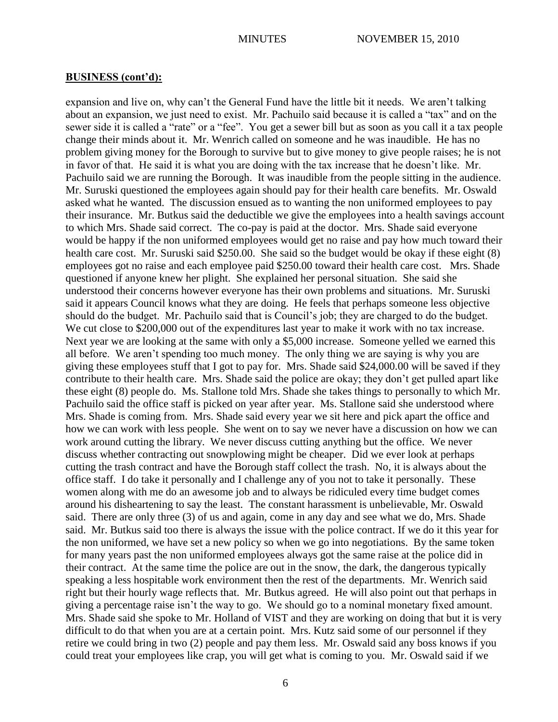expansion and live on, why can't the General Fund have the little bit it needs. We aren't talking about an expansion, we just need to exist. Mr. Pachuilo said because it is called a "tax" and on the sewer side it is called a "rate" or a "fee". You get a sewer bill but as soon as you call it a tax people change their minds about it. Mr. Wenrich called on someone and he was inaudible. He has no problem giving money for the Borough to survive but to give money to give people raises; he is not in favor of that. He said it is what you are doing with the tax increase that he doesn't like. Mr. Pachuilo said we are running the Borough. It was inaudible from the people sitting in the audience. Mr. Suruski questioned the employees again should pay for their health care benefits. Mr. Oswald asked what he wanted. The discussion ensued as to wanting the non uniformed employees to pay their insurance. Mr. Butkus said the deductible we give the employees into a health savings account to which Mrs. Shade said correct. The co-pay is paid at the doctor. Mrs. Shade said everyone would be happy if the non uniformed employees would get no raise and pay how much toward their health care cost. Mr. Suruski said \$250.00. She said so the budget would be okay if these eight (8) employees got no raise and each employee paid \$250.00 toward their health care cost. Mrs. Shade questioned if anyone knew her plight. She explained her personal situation. She said she understood their concerns however everyone has their own problems and situations. Mr. Suruski said it appears Council knows what they are doing. He feels that perhaps someone less objective should do the budget. Mr. Pachuilo said that is Council's job; they are charged to do the budget. We cut close to \$200,000 out of the expenditures last year to make it work with no tax increase. Next year we are looking at the same with only a \$5,000 increase. Someone yelled we earned this all before. We aren't spending too much money. The only thing we are saying is why you are giving these employees stuff that I got to pay for. Mrs. Shade said \$24,000.00 will be saved if they contribute to their health care. Mrs. Shade said the police are okay; they don't get pulled apart like these eight (8) people do. Ms. Stallone told Mrs. Shade she takes things to personally to which Mr. Pachuilo said the office staff is picked on year after year. Ms. Stallone said she understood where Mrs. Shade is coming from. Mrs. Shade said every year we sit here and pick apart the office and how we can work with less people. She went on to say we never have a discussion on how we can work around cutting the library. We never discuss cutting anything but the office. We never discuss whether contracting out snowplowing might be cheaper. Did we ever look at perhaps cutting the trash contract and have the Borough staff collect the trash. No, it is always about the office staff. I do take it personally and I challenge any of you not to take it personally. These women along with me do an awesome job and to always be ridiculed every time budget comes around his disheartening to say the least. The constant harassment is unbelievable, Mr. Oswald said. There are only three (3) of us and again, come in any day and see what we do, Mrs. Shade said. Mr. Butkus said too there is always the issue with the police contract. If we do it this year for the non uniformed, we have set a new policy so when we go into negotiations. By the same token for many years past the non uniformed employees always got the same raise at the police did in their contract. At the same time the police are out in the snow, the dark, the dangerous typically speaking a less hospitable work environment then the rest of the departments. Mr. Wenrich said right but their hourly wage reflects that. Mr. Butkus agreed. He will also point out that perhaps in giving a percentage raise isn't the way to go. We should go to a nominal monetary fixed amount. Mrs. Shade said she spoke to Mr. Holland of VIST and they are working on doing that but it is very difficult to do that when you are at a certain point. Mrs. Kutz said some of our personnel if they retire we could bring in two (2) people and pay them less. Mr. Oswald said any boss knows if you could treat your employees like crap, you will get what is coming to you. Mr. Oswald said if we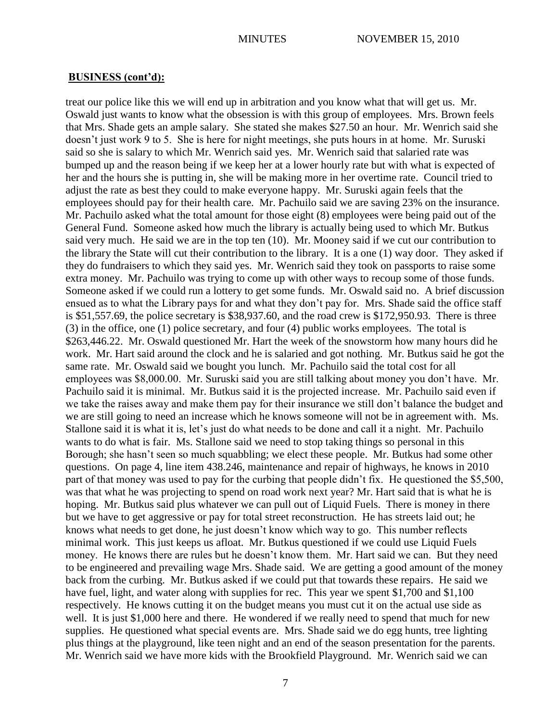treat our police like this we will end up in arbitration and you know what that will get us. Mr. Oswald just wants to know what the obsession is with this group of employees. Mrs. Brown feels that Mrs. Shade gets an ample salary. She stated she makes \$27.50 an hour. Mr. Wenrich said she doesn't just work 9 to 5. She is here for night meetings, she puts hours in at home. Mr. Suruski said so she is salary to which Mr. Wenrich said yes. Mr. Wenrich said that salaried rate was bumped up and the reason being if we keep her at a lower hourly rate but with what is expected of her and the hours she is putting in, she will be making more in her overtime rate. Council tried to adjust the rate as best they could to make everyone happy. Mr. Suruski again feels that the employees should pay for their health care. Mr. Pachuilo said we are saving 23% on the insurance. Mr. Pachuilo asked what the total amount for those eight (8) employees were being paid out of the General Fund. Someone asked how much the library is actually being used to which Mr. Butkus said very much. He said we are in the top ten (10). Mr. Mooney said if we cut our contribution to the library the State will cut their contribution to the library. It is a one (1) way door. They asked if they do fundraisers to which they said yes. Mr. Wenrich said they took on passports to raise some extra money. Mr. Pachuilo was trying to come up with other ways to recoup some of those funds. Someone asked if we could run a lottery to get some funds. Mr. Oswald said no. A brief discussion ensued as to what the Library pays for and what they don't pay for. Mrs. Shade said the office staff is \$51,557.69, the police secretary is \$38,937.60, and the road crew is \$172,950.93. There is three (3) in the office, one (1) police secretary, and four (4) public works employees. The total is \$263,446.22. Mr. Oswald questioned Mr. Hart the week of the snowstorm how many hours did he work. Mr. Hart said around the clock and he is salaried and got nothing. Mr. Butkus said he got the same rate. Mr. Oswald said we bought you lunch. Mr. Pachuilo said the total cost for all employees was \$8,000.00. Mr. Suruski said you are still talking about money you don't have. Mr. Pachuilo said it is minimal. Mr. Butkus said it is the projected increase. Mr. Pachuilo said even if we take the raises away and make them pay for their insurance we still don't balance the budget and we are still going to need an increase which he knows someone will not be in agreement with. Ms. Stallone said it is what it is, let's just do what needs to be done and call it a night. Mr. Pachuilo wants to do what is fair. Ms. Stallone said we need to stop taking things so personal in this Borough; she hasn't seen so much squabbling; we elect these people. Mr. Butkus had some other questions. On page 4, line item 438.246, maintenance and repair of highways, he knows in 2010 part of that money was used to pay for the curbing that people didn't fix. He questioned the \$5,500, was that what he was projecting to spend on road work next year? Mr. Hart said that is what he is hoping. Mr. Butkus said plus whatever we can pull out of Liquid Fuels. There is money in there but we have to get aggressive or pay for total street reconstruction. He has streets laid out; he knows what needs to get done, he just doesn't know which way to go. This number reflects minimal work. This just keeps us afloat. Mr. Butkus questioned if we could use Liquid Fuels money. He knows there are rules but he doesn't know them. Mr. Hart said we can. But they need to be engineered and prevailing wage Mrs. Shade said. We are getting a good amount of the money back from the curbing. Mr. Butkus asked if we could put that towards these repairs. He said we have fuel, light, and water along with supplies for rec. This year we spent \$1,700 and \$1,100 respectively. He knows cutting it on the budget means you must cut it on the actual use side as well. It is just \$1,000 here and there. He wondered if we really need to spend that much for new supplies. He questioned what special events are. Mrs. Shade said we do egg hunts, tree lighting plus things at the playground, like teen night and an end of the season presentation for the parents. Mr. Wenrich said we have more kids with the Brookfield Playground. Mr. Wenrich said we can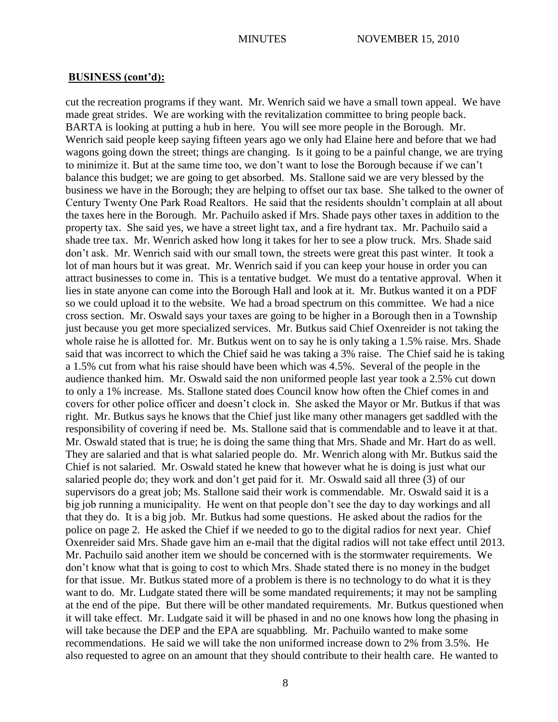cut the recreation programs if they want. Mr. Wenrich said we have a small town appeal. We have made great strides. We are working with the revitalization committee to bring people back. BARTA is looking at putting a hub in here. You will see more people in the Borough. Mr. Wenrich said people keep saying fifteen years ago we only had Elaine here and before that we had wagons going down the street; things are changing. Is it going to be a painful change, we are trying to minimize it. But at the same time too, we don't want to lose the Borough because if we can't balance this budget; we are going to get absorbed. Ms. Stallone said we are very blessed by the business we have in the Borough; they are helping to offset our tax base. She talked to the owner of Century Twenty One Park Road Realtors. He said that the residents shouldn't complain at all about the taxes here in the Borough. Mr. Pachuilo asked if Mrs. Shade pays other taxes in addition to the property tax. She said yes, we have a street light tax, and a fire hydrant tax. Mr. Pachuilo said a shade tree tax. Mr. Wenrich asked how long it takes for her to see a plow truck. Mrs. Shade said don't ask. Mr. Wenrich said with our small town, the streets were great this past winter. It took a lot of man hours but it was great. Mr. Wenrich said if you can keep your house in order you can attract businesses to come in. This is a tentative budget. We must do a tentative approval. When it lies in state anyone can come into the Borough Hall and look at it. Mr. Butkus wanted it on a PDF so we could upload it to the website. We had a broad spectrum on this committee. We had a nice cross section. Mr. Oswald says your taxes are going to be higher in a Borough then in a Township just because you get more specialized services. Mr. Butkus said Chief Oxenreider is not taking the whole raise he is allotted for. Mr. Butkus went on to say he is only taking a 1.5% raise. Mrs. Shade said that was incorrect to which the Chief said he was taking a 3% raise. The Chief said he is taking a 1.5% cut from what his raise should have been which was 4.5%. Several of the people in the audience thanked him. Mr. Oswald said the non uniformed people last year took a 2.5% cut down to only a 1% increase. Ms. Stallone stated does Council know how often the Chief comes in and covers for other police officer and doesn't clock in. She asked the Mayor or Mr. Butkus if that was right. Mr. Butkus says he knows that the Chief just like many other managers get saddled with the responsibility of covering if need be. Ms. Stallone said that is commendable and to leave it at that. Mr. Oswald stated that is true; he is doing the same thing that Mrs. Shade and Mr. Hart do as well. They are salaried and that is what salaried people do. Mr. Wenrich along with Mr. Butkus said the Chief is not salaried. Mr. Oswald stated he knew that however what he is doing is just what our salaried people do; they work and don't get paid for it. Mr. Oswald said all three (3) of our supervisors do a great job; Ms. Stallone said their work is commendable. Mr. Oswald said it is a big job running a municipality. He went on that people don't see the day to day workings and all that they do. It is a big job. Mr. Butkus had some questions. He asked about the radios for the police on page 2. He asked the Chief if we needed to go to the digital radios for next year. Chief Oxenreider said Mrs. Shade gave him an e-mail that the digital radios will not take effect until 2013. Mr. Pachuilo said another item we should be concerned with is the stormwater requirements. We don't know what that is going to cost to which Mrs. Shade stated there is no money in the budget for that issue. Mr. Butkus stated more of a problem is there is no technology to do what it is they want to do. Mr. Ludgate stated there will be some mandated requirements; it may not be sampling at the end of the pipe. But there will be other mandated requirements. Mr. Butkus questioned when it will take effect. Mr. Ludgate said it will be phased in and no one knows how long the phasing in will take because the DEP and the EPA are squabbling. Mr. Pachuilo wanted to make some recommendations. He said we will take the non uniformed increase down to 2% from 3.5%. He also requested to agree on an amount that they should contribute to their health care. He wanted to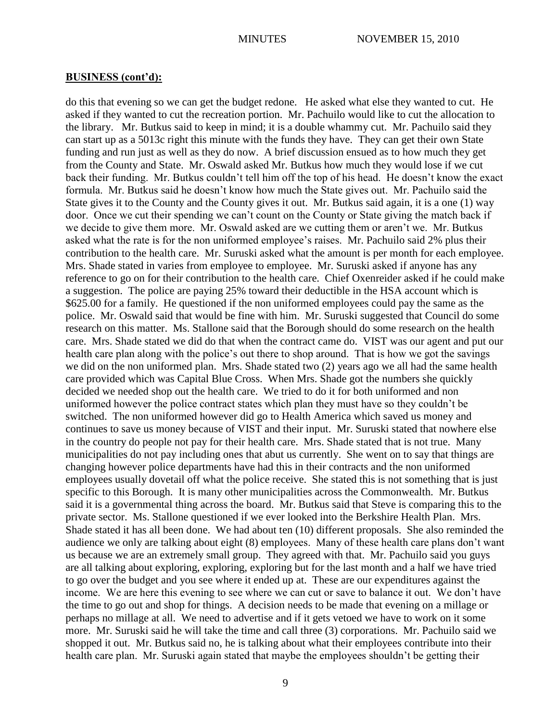do this that evening so we can get the budget redone. He asked what else they wanted to cut. He asked if they wanted to cut the recreation portion. Mr. Pachuilo would like to cut the allocation to the library. Mr. Butkus said to keep in mind; it is a double whammy cut. Mr. Pachuilo said they can start up as a 5013c right this minute with the funds they have. They can get their own State funding and run just as well as they do now. A brief discussion ensued as to how much they get from the County and State. Mr. Oswald asked Mr. Butkus how much they would lose if we cut back their funding. Mr. Butkus couldn't tell him off the top of his head. He doesn't know the exact formula. Mr. Butkus said he doesn't know how much the State gives out. Mr. Pachuilo said the State gives it to the County and the County gives it out. Mr. Butkus said again, it is a one (1) way door. Once we cut their spending we can't count on the County or State giving the match back if we decide to give them more. Mr. Oswald asked are we cutting them or aren't we. Mr. Butkus asked what the rate is for the non uniformed employee's raises. Mr. Pachuilo said 2% plus their contribution to the health care. Mr. Suruski asked what the amount is per month for each employee. Mrs. Shade stated in varies from employee to employee. Mr. Suruski asked if anyone has any reference to go on for their contribution to the health care. Chief Oxenreider asked if he could make a suggestion. The police are paying 25% toward their deductible in the HSA account which is \$625.00 for a family. He questioned if the non uniformed employees could pay the same as the police. Mr. Oswald said that would be fine with him. Mr. Suruski suggested that Council do some research on this matter. Ms. Stallone said that the Borough should do some research on the health care. Mrs. Shade stated we did do that when the contract came do. VIST was our agent and put our health care plan along with the police's out there to shop around. That is how we got the savings we did on the non uniformed plan. Mrs. Shade stated two (2) years ago we all had the same health care provided which was Capital Blue Cross. When Mrs. Shade got the numbers she quickly decided we needed shop out the health care. We tried to do it for both uniformed and non uniformed however the police contract states which plan they must have so they couldn't be switched. The non uniformed however did go to Health America which saved us money and continues to save us money because of VIST and their input. Mr. Suruski stated that nowhere else in the country do people not pay for their health care. Mrs. Shade stated that is not true. Many municipalities do not pay including ones that abut us currently. She went on to say that things are changing however police departments have had this in their contracts and the non uniformed employees usually dovetail off what the police receive. She stated this is not something that is just specific to this Borough. It is many other municipalities across the Commonwealth. Mr. Butkus said it is a governmental thing across the board. Mr. Butkus said that Steve is comparing this to the private sector. Ms. Stallone questioned if we ever looked into the Berkshire Health Plan. Mrs. Shade stated it has all been done. We had about ten (10) different proposals. She also reminded the audience we only are talking about eight (8) employees. Many of these health care plans don't want us because we are an extremely small group. They agreed with that. Mr. Pachuilo said you guys are all talking about exploring, exploring, exploring but for the last month and a half we have tried to go over the budget and you see where it ended up at. These are our expenditures against the income. We are here this evening to see where we can cut or save to balance it out. We don't have the time to go out and shop for things. A decision needs to be made that evening on a millage or perhaps no millage at all. We need to advertise and if it gets vetoed we have to work on it some more. Mr. Suruski said he will take the time and call three (3) corporations. Mr. Pachuilo said we shopped it out. Mr. Butkus said no, he is talking about what their employees contribute into their health care plan. Mr. Suruski again stated that maybe the employees shouldn't be getting their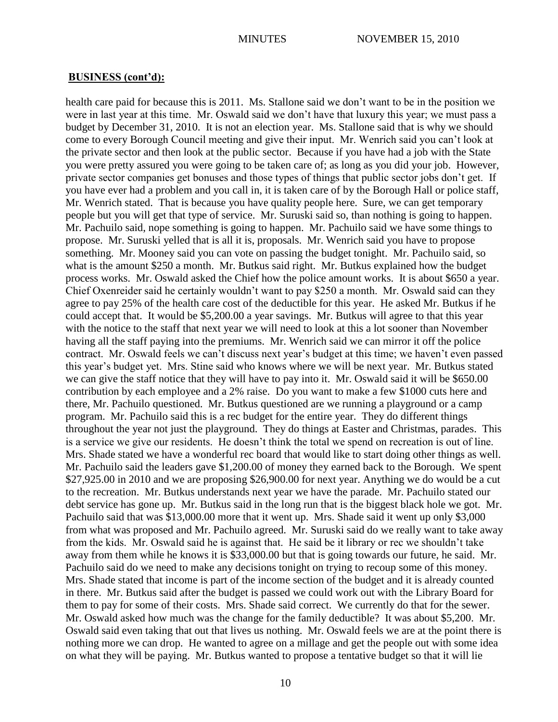health care paid for because this is 2011. Ms. Stallone said we don't want to be in the position we were in last year at this time. Mr. Oswald said we don't have that luxury this year; we must pass a budget by December 31, 2010. It is not an election year. Ms. Stallone said that is why we should come to every Borough Council meeting and give their input. Mr. Wenrich said you can't look at the private sector and then look at the public sector. Because if you have had a job with the State you were pretty assured you were going to be taken care of; as long as you did your job. However, private sector companies get bonuses and those types of things that public sector jobs don't get. If you have ever had a problem and you call in, it is taken care of by the Borough Hall or police staff, Mr. Wenrich stated. That is because you have quality people here. Sure, we can get temporary people but you will get that type of service. Mr. Suruski said so, than nothing is going to happen. Mr. Pachuilo said, nope something is going to happen. Mr. Pachuilo said we have some things to propose. Mr. Suruski yelled that is all it is, proposals. Mr. Wenrich said you have to propose something. Mr. Mooney said you can vote on passing the budget tonight. Mr. Pachuilo said, so what is the amount \$250 a month. Mr. Butkus said right. Mr. Butkus explained how the budget process works. Mr. Oswald asked the Chief how the police amount works. It is about \$650 a year. Chief Oxenreider said he certainly wouldn't want to pay \$250 a month. Mr. Oswald said can they agree to pay 25% of the health care cost of the deductible for this year. He asked Mr. Butkus if he could accept that. It would be \$5,200.00 a year savings. Mr. Butkus will agree to that this year with the notice to the staff that next year we will need to look at this a lot sooner than November having all the staff paying into the premiums. Mr. Wenrich said we can mirror it off the police contract. Mr. Oswald feels we can't discuss next year's budget at this time; we haven't even passed this year's budget yet. Mrs. Stine said who knows where we will be next year. Mr. Butkus stated we can give the staff notice that they will have to pay into it. Mr. Oswald said it will be \$650.00 contribution by each employee and a 2% raise. Do you want to make a few \$1000 cuts here and there, Mr. Pachuilo questioned. Mr. Butkus questioned are we running a playground or a camp program. Mr. Pachuilo said this is a rec budget for the entire year. They do different things throughout the year not just the playground. They do things at Easter and Christmas, parades. This is a service we give our residents. He doesn't think the total we spend on recreation is out of line. Mrs. Shade stated we have a wonderful rec board that would like to start doing other things as well. Mr. Pachuilo said the leaders gave \$1,200.00 of money they earned back to the Borough. We spent \$27,925.00 in 2010 and we are proposing \$26,900.00 for next year. Anything we do would be a cut to the recreation. Mr. Butkus understands next year we have the parade. Mr. Pachuilo stated our debt service has gone up. Mr. Butkus said in the long run that is the biggest black hole we got. Mr. Pachuilo said that was \$13,000.00 more that it went up. Mrs. Shade said it went up only \$3,000 from what was proposed and Mr. Pachuilo agreed. Mr. Suruski said do we really want to take away from the kids. Mr. Oswald said he is against that. He said be it library or rec we shouldn't take away from them while he knows it is \$33,000.00 but that is going towards our future, he said. Mr. Pachuilo said do we need to make any decisions tonight on trying to recoup some of this money. Mrs. Shade stated that income is part of the income section of the budget and it is already counted in there. Mr. Butkus said after the budget is passed we could work out with the Library Board for them to pay for some of their costs. Mrs. Shade said correct. We currently do that for the sewer. Mr. Oswald asked how much was the change for the family deductible? It was about \$5,200. Mr. Oswald said even taking that out that lives us nothing. Mr. Oswald feels we are at the point there is nothing more we can drop. He wanted to agree on a millage and get the people out with some idea on what they will be paying. Mr. Butkus wanted to propose a tentative budget so that it will lie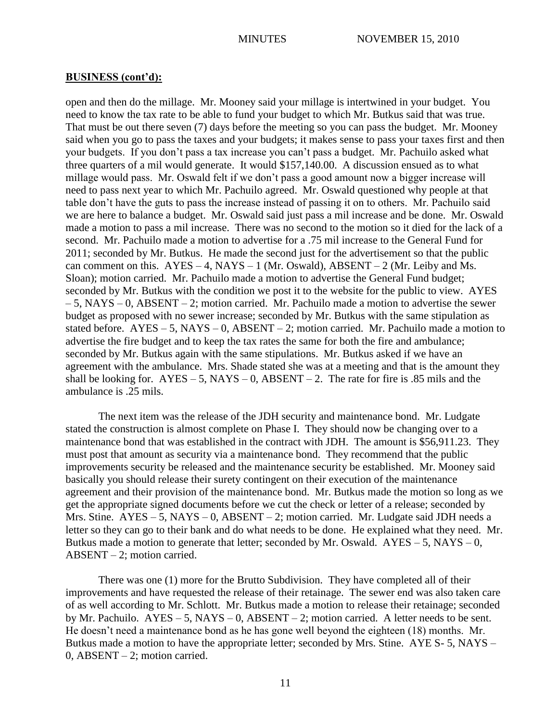open and then do the millage. Mr. Mooney said your millage is intertwined in your budget. You need to know the tax rate to be able to fund your budget to which Mr. Butkus said that was true. That must be out there seven (7) days before the meeting so you can pass the budget. Mr. Mooney said when you go to pass the taxes and your budgets; it makes sense to pass your taxes first and then your budgets. If you don't pass a tax increase you can't pass a budget. Mr. Pachuilo asked what three quarters of a mil would generate. It would \$157,140.00. A discussion ensued as to what millage would pass. Mr. Oswald felt if we don't pass a good amount now a bigger increase will need to pass next year to which Mr. Pachuilo agreed. Mr. Oswald questioned why people at that table don't have the guts to pass the increase instead of passing it on to others. Mr. Pachuilo said we are here to balance a budget. Mr. Oswald said just pass a mil increase and be done. Mr. Oswald made a motion to pass a mil increase. There was no second to the motion so it died for the lack of a second. Mr. Pachuilo made a motion to advertise for a .75 mil increase to the General Fund for 2011; seconded by Mr. Butkus. He made the second just for the advertisement so that the public can comment on this.  $AYES - 4$ ,  $NAYS - 1$  (Mr. Oswald),  $ABSENT - 2$  (Mr. Leiby and Ms. Sloan); motion carried. Mr. Pachuilo made a motion to advertise the General Fund budget; seconded by Mr. Butkus with the condition we post it to the website for the public to view. AYES  $-5$ , NAYS – 0, ABSENT – 2; motion carried. Mr. Pachuilo made a motion to advertise the sewer budget as proposed with no sewer increase; seconded by Mr. Butkus with the same stipulation as stated before.  $AYES - 5$ ,  $NAYS - 0$ ,  $ABSENT - 2$ ; motion carried. Mr. Pachuilo made a motion to advertise the fire budget and to keep the tax rates the same for both the fire and ambulance; seconded by Mr. Butkus again with the same stipulations. Mr. Butkus asked if we have an agreement with the ambulance. Mrs. Shade stated she was at a meeting and that is the amount they shall be looking for.  $AYES - 5$ ,  $NAYS - 0$ ,  $ABSENT - 2$ . The rate for fire is .85 mils and the ambulance is .25 mils.

The next item was the release of the JDH security and maintenance bond. Mr. Ludgate stated the construction is almost complete on Phase I. They should now be changing over to a maintenance bond that was established in the contract with JDH. The amount is \$56,911.23. They must post that amount as security via a maintenance bond. They recommend that the public improvements security be released and the maintenance security be established. Mr. Mooney said basically you should release their surety contingent on their execution of the maintenance agreement and their provision of the maintenance bond. Mr. Butkus made the motion so long as we get the appropriate signed documents before we cut the check or letter of a release; seconded by Mrs. Stine.  $AYES - 5$ ,  $NAYS - 0$ ,  $ABSENT - 2$ ; motion carried. Mr. Ludgate said JDH needs a letter so they can go to their bank and do what needs to be done. He explained what they need. Mr. Butkus made a motion to generate that letter; seconded by Mr. Oswald.  $AYES - 5$ ,  $NAYS - 0$ , ABSENT – 2; motion carried.

There was one (1) more for the Brutto Subdivision. They have completed all of their improvements and have requested the release of their retainage. The sewer end was also taken care of as well according to Mr. Schlott. Mr. Butkus made a motion to release their retainage; seconded by Mr. Pachuilo.  $AYES - 5$ ,  $NAYS - 0$ ,  $ABSENT - 2$ ; motion carried. A letter needs to be sent. He doesn't need a maintenance bond as he has gone well beyond the eighteen (18) months. Mr. Butkus made a motion to have the appropriate letter; seconded by Mrs. Stine. AYE S- 5, NAYS – 0, ABSENT – 2; motion carried.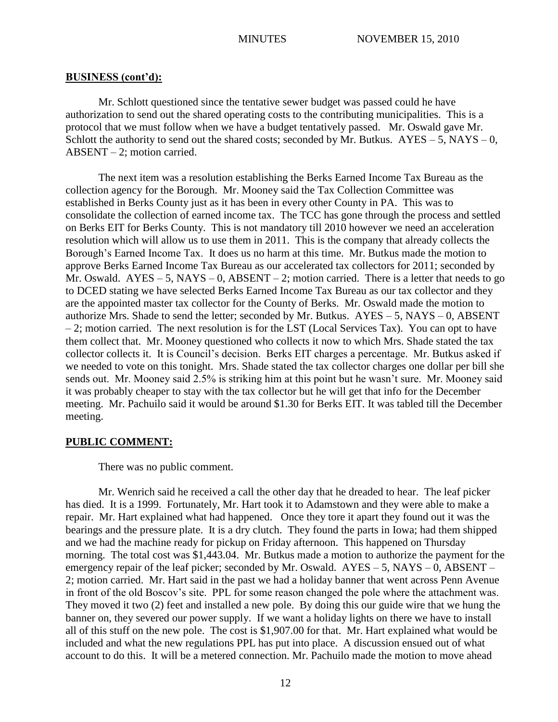Mr. Schlott questioned since the tentative sewer budget was passed could he have authorization to send out the shared operating costs to the contributing municipalities. This is a protocol that we must follow when we have a budget tentatively passed. Mr. Oswald gave Mr. Schlott the authority to send out the shared costs; seconded by Mr. Butkus.  $AYES - 5$ ,  $NAYS - 0$ , ABSENT – 2; motion carried.

The next item was a resolution establishing the Berks Earned Income Tax Bureau as the collection agency for the Borough. Mr. Mooney said the Tax Collection Committee was established in Berks County just as it has been in every other County in PA. This was to consolidate the collection of earned income tax. The TCC has gone through the process and settled on Berks EIT for Berks County. This is not mandatory till 2010 however we need an acceleration resolution which will allow us to use them in 2011. This is the company that already collects the Borough's Earned Income Tax. It does us no harm at this time. Mr. Butkus made the motion to approve Berks Earned Income Tax Bureau as our accelerated tax collectors for 2011; seconded by Mr. Oswald.  $AYES - 5$ ,  $NAYS - 0$ ,  $ABSENT - 2$ ; motion carried. There is a letter that needs to go to DCED stating we have selected Berks Earned Income Tax Bureau as our tax collector and they are the appointed master tax collector for the County of Berks. Mr. Oswald made the motion to authorize Mrs. Shade to send the letter; seconded by Mr. Butkus.  $AYES - 5$ ,  $NAYS - 0$ ,  $ABSENT$ – 2; motion carried. The next resolution is for the LST (Local Services Tax). You can opt to have them collect that. Mr. Mooney questioned who collects it now to which Mrs. Shade stated the tax collector collects it. It is Council's decision. Berks EIT charges a percentage. Mr. Butkus asked if we needed to vote on this tonight. Mrs. Shade stated the tax collector charges one dollar per bill she sends out. Mr. Mooney said 2.5% is striking him at this point but he wasn't sure. Mr. Mooney said it was probably cheaper to stay with the tax collector but he will get that info for the December meeting. Mr. Pachuilo said it would be around \$1.30 for Berks EIT. It was tabled till the December meeting.

# **PUBLIC COMMENT:**

There was no public comment.

Mr. Wenrich said he received a call the other day that he dreaded to hear. The leaf picker has died. It is a 1999. Fortunately, Mr. Hart took it to Adamstown and they were able to make a repair. Mr. Hart explained what had happened. Once they tore it apart they found out it was the bearings and the pressure plate. It is a dry clutch. They found the parts in Iowa; had them shipped and we had the machine ready for pickup on Friday afternoon. This happened on Thursday morning. The total cost was \$1,443.04. Mr. Butkus made a motion to authorize the payment for the emergency repair of the leaf picker; seconded by Mr. Oswald. AYES – 5, NAYS – 0, ABSENT – 2; motion carried. Mr. Hart said in the past we had a holiday banner that went across Penn Avenue in front of the old Boscov's site. PPL for some reason changed the pole where the attachment was. They moved it two (2) feet and installed a new pole. By doing this our guide wire that we hung the banner on, they severed our power supply. If we want a holiday lights on there we have to install all of this stuff on the new pole. The cost is \$1,907.00 for that. Mr. Hart explained what would be included and what the new regulations PPL has put into place. A discussion ensued out of what account to do this. It will be a metered connection. Mr. Pachuilo made the motion to move ahead